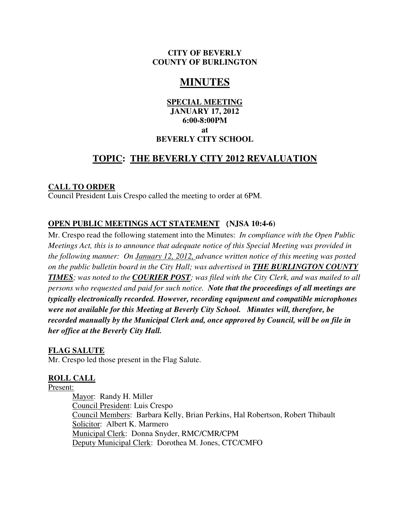#### **CITY OF BEVERLY COUNTY OF BURLINGTON**

# **MINUTES**

### **SPECIAL MEETING JANUARY 17, 2012 6:00-8:00PM at BEVERLY CITY SCHOOL**

## **TOPIC: THE BEVERLY CITY 2012 REVALUATION**

### **CALL TO ORDER**

Council President Luis Crespo called the meeting to order at 6PM.

### **OPEN PUBLIC MEETINGS ACT STATEMENT (NJSA 10:4-6)**

Mr. Crespo read the following statement into the Minutes: *In compliance with the Open Public Meetings Act, this is to announce that adequate notice of this Special Meeting was provided in the following manner: On January 12, 2012, advance written notice of this meeting was posted on the public bulletin board in the City Hall; was advertised in THE BURLINGTON COUNTY TIMES; was noted to the COURIER POST; was filed with the City Clerk, and was mailed to all persons who requested and paid for such notice. Note that the proceedings of all meetings are typically electronically recorded. However, recording equipment and compatible microphones were not available for this Meeting at Beverly City School. Minutes will, therefore, be recorded manually by the Municipal Clerk and, once approved by Council, will be on file in her office at the Beverly City Hall.*

### **FLAG SALUTE**

Mr. Crespo led those present in the Flag Salute.

### **ROLL CALL**

Present:

Mayor: Randy H. Miller Council President: Luis Crespo Council Members: Barbara Kelly, Brian Perkins, Hal Robertson, Robert Thibault Solicitor: Albert K. Marmero Municipal Clerk: Donna Snyder, RMC/CMR/CPM Deputy Municipal Clerk: Dorothea M. Jones, CTC/CMFO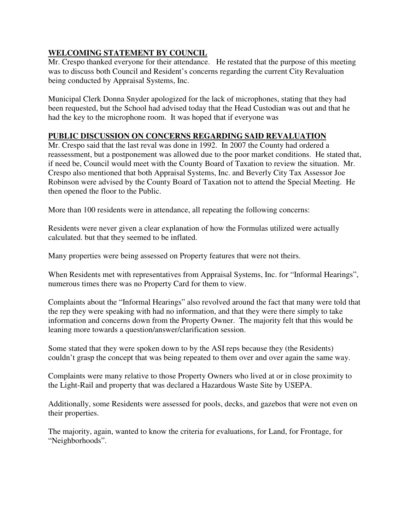## **WELCOMING STATEMENT BY COUNCIL**

Mr. Crespo thanked everyone for their attendance. He restated that the purpose of this meeting was to discuss both Council and Resident's concerns regarding the current City Revaluation being conducted by Appraisal Systems, Inc.

Municipal Clerk Donna Snyder apologized for the lack of microphones, stating that they had been requested, but the School had advised today that the Head Custodian was out and that he had the key to the microphone room. It was hoped that if everyone was

### **PUBLIC DISCUSSION ON CONCERNS REGARDING SAID REVALUATION**

Mr. Crespo said that the last reval was done in 1992. In 2007 the County had ordered a reassessment, but a postponement was allowed due to the poor market conditions. He stated that, if need be, Council would meet with the County Board of Taxation to review the situation. Mr. Crespo also mentioned that both Appraisal Systems, Inc. and Beverly City Tax Assessor Joe Robinson were advised by the County Board of Taxation not to attend the Special Meeting. He then opened the floor to the Public.

More than 100 residents were in attendance, all repeating the following concerns:

Residents were never given a clear explanation of how the Formulas utilized were actually calculated. but that they seemed to be inflated.

Many properties were being assessed on Property features that were not theirs.

When Residents met with representatives from Appraisal Systems, Inc. for "Informal Hearings", numerous times there was no Property Card for them to view.

Complaints about the "Informal Hearings" also revolved around the fact that many were told that the rep they were speaking with had no information, and that they were there simply to take information and concerns down from the Property Owner. The majority felt that this would be leaning more towards a question/answer/clarification session.

Some stated that they were spoken down to by the ASI reps because they (the Residents) couldn't grasp the concept that was being repeated to them over and over again the same way.

Complaints were many relative to those Property Owners who lived at or in close proximity to the Light-Rail and property that was declared a Hazardous Waste Site by USEPA.

Additionally, some Residents were assessed for pools, decks, and gazebos that were not even on their properties.

The majority, again, wanted to know the criteria for evaluations, for Land, for Frontage, for "Neighborhoods".